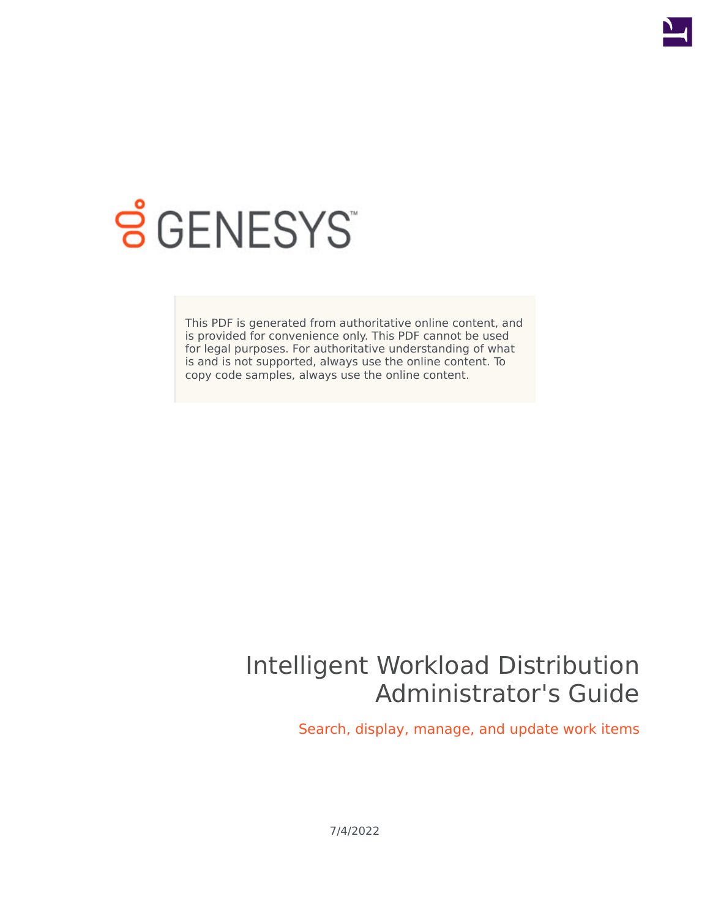

# **S** GENESYS

This PDF is generated from authoritative online content, and is provided for convenience only. This PDF cannot be used for legal purposes. For authoritative understanding of what is and is not supported, always use the online content. To copy code samples, always use the online content.

# Intelligent Workload Distribution Administrator's Guide

Search, display, manage, and update work items

7/4/2022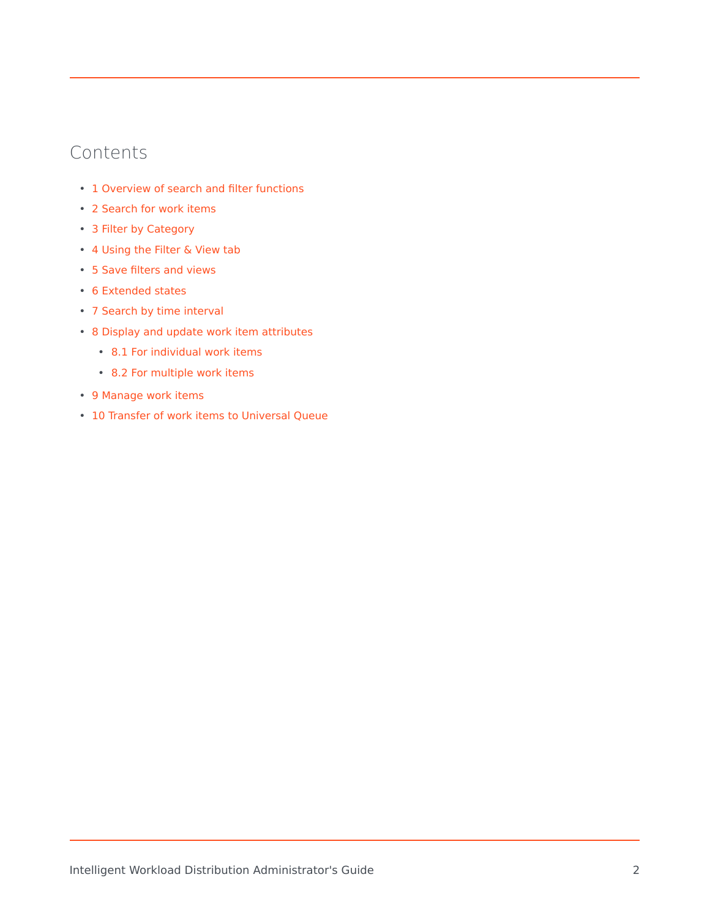# Contents

- 1 [Overview of search and filter functions](#page-2-0)
- 2 [Search for work items](#page-2-1)
- 3 [Filter by Category](#page-2-2)
- 4 [Using the Filter & View tab](#page-3-0)
- 5 [Save filters and views](#page-6-0)
- 6 [Extended states](#page-7-0)
- 7 [Search by time interval](#page-8-0)
- 8 [Display and update work item attributes](#page-9-0)
	- 8.1 [For individual work items](#page-9-1)
	- 8.2 [For multiple work items](#page-9-2)
- 9 [Manage work items](#page-9-3)
- 10 [Transfer of work items to Universal Queue](#page-10-0)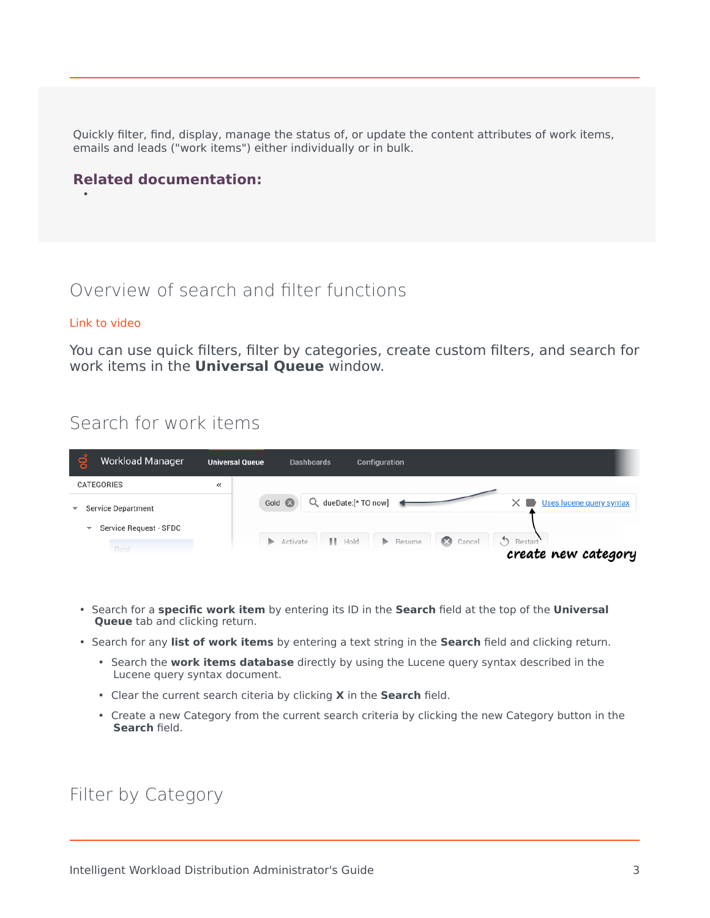Quickly filter, find, display, manage the status of, or update the content attributes of work items, emails and leads ("work items") either individually or in bulk.

## **Related documentation:**

# <span id="page-2-0"></span>Overview of search and filter functions

#### [Link to video](https://player.vimeo.com/video/696597754?title=0&byline=0&portrait=0)

•

You can use quick filters, filter by categories, create custom filters, and search for work items in the **Universal Queue** window.

# <span id="page-2-1"></span>Search for work items

| <b>Workload Manager</b>                                                                      | <b>Universal Queue</b> | <b>Dashboards</b><br><b>Configuration</b>                                                                                                                                                   |
|----------------------------------------------------------------------------------------------|------------------------|---------------------------------------------------------------------------------------------------------------------------------------------------------------------------------------------|
| CATEGORIES                                                                                   | ≪                      |                                                                                                                                                                                             |
| <b>Service Department</b><br>$\overline{\phantom{0}}$<br>Service Request - SFDC<br>▼<br>Gold |                        | Q dueDate:[* TO now]<br>Gold <sup>63</sup><br>Uses lucene query syntax<br>Restart<br>$\blacksquare$ Hold<br>$\mathbb{R}$<br>Cancel<br>ъ.<br>Resume<br>ъ.<br>Activate<br>create new category |

- Search for a **specific work item** by entering its ID in the **Search** field at the top of the **Universal Queue** tab and clicking return.
- Search for any **list of work items** by entering a text string in the **Search** field and clicking return.
	- Search the **work items database** directly by using the Lucene query syntax described in the Lucene query syntax document.
	- Clear the current search citeria by clicking **X** in the **Search** field.
	- Create a new Category from the current search criteria by clicking the new Category button in the **Search** field.

## <span id="page-2-2"></span>Filter by Category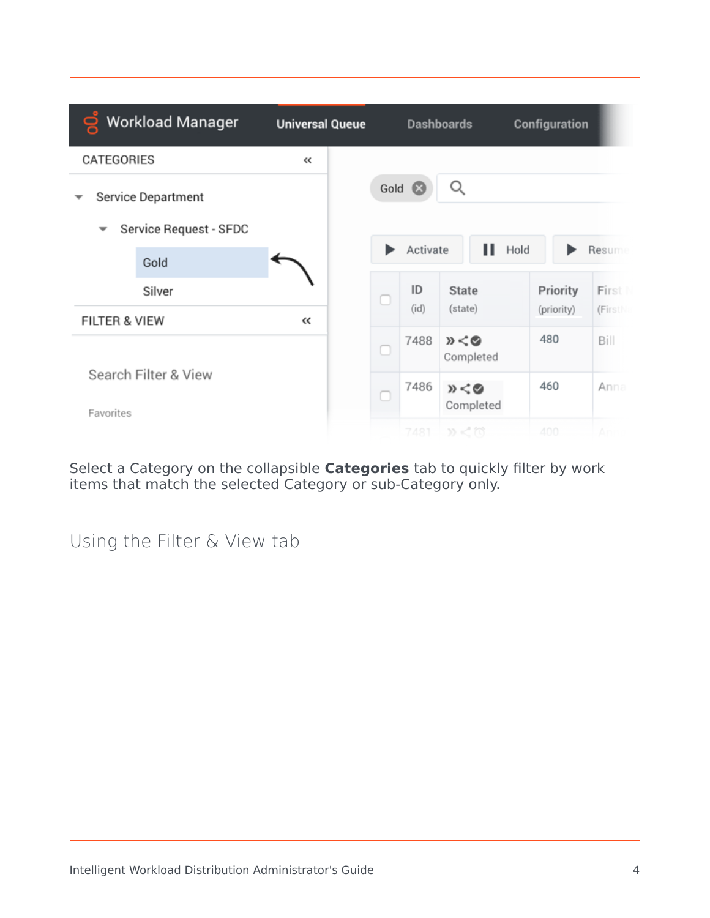|                                                               | <b>Workload Manager</b>                             | <b>Universal Queue</b> |    |                    | <b>Dashboards</b>       | Configuration          |                  |  |  |  |
|---------------------------------------------------------------|-----------------------------------------------------|------------------------|----|--------------------|-------------------------|------------------------|------------------|--|--|--|
| CATEGORIES                                                    |                                                     | $\ll$                  |    |                    |                         |                        |                  |  |  |  |
| $\overline{\phantom{a}}$                                      | <b>Service Department</b><br>Service Request - SFDC |                        |    | Gold <sup>63</sup> | Q                       |                        |                  |  |  |  |
|                                                               | Gold                                                |                        |    | Activate           | п                       | Hold<br>Resume         |                  |  |  |  |
| Silver                                                        |                                                     |                        | O  | ID<br>(id)         | <b>State</b><br>(state) | Priority<br>(priority) | First<br>(FirstN |  |  |  |
| <b>FILTER &amp; VIEW</b><br>Search Filter & View<br>Favorites |                                                     | ≪                      | L. | 7488               | 》くの<br>Completed        | 480                    | Bill             |  |  |  |
|                                                               |                                                     |                        |    | 7486               | »<0<br>Completed        | 460                    | Anna             |  |  |  |
|                                                               |                                                     |                        |    | 7481               | W < 77                  | $A \cap \cap$          |                  |  |  |  |

Select a Category on the collapsible **Categories** tab to quickly filter by work items that match the selected Category or sub-Category only.

<span id="page-3-0"></span>Using the Filter & View tab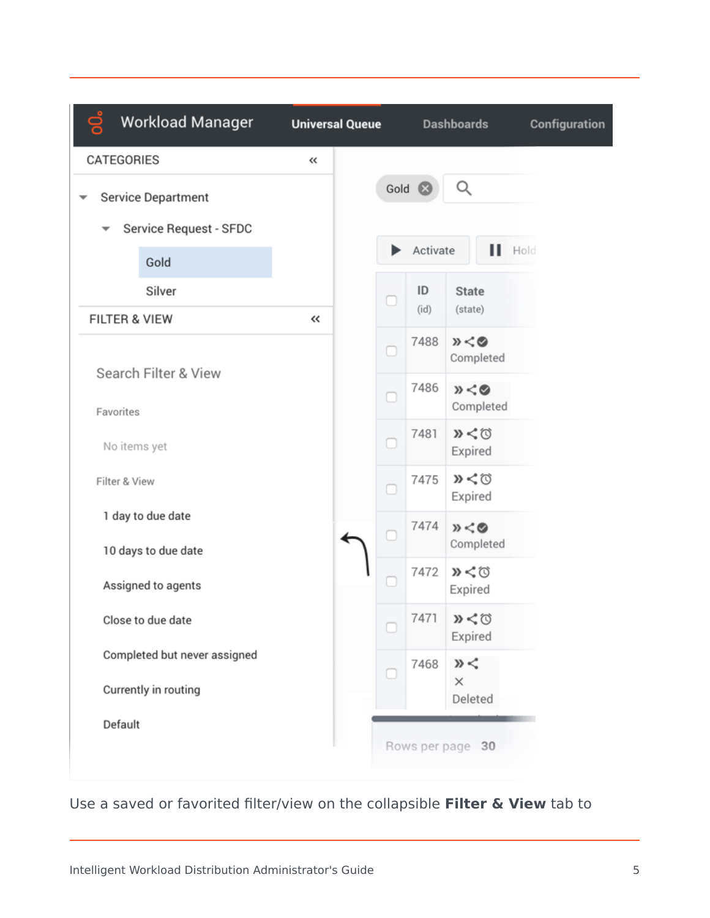

Use a saved or favorited filter/view on the collapsible **Filter & View** tab to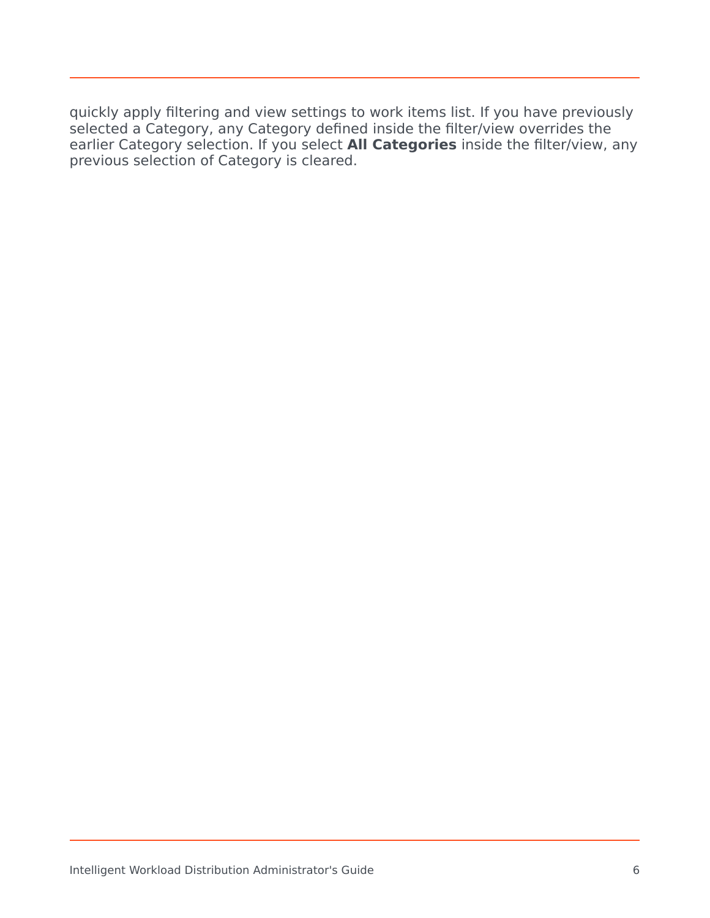quickly apply filtering and view settings to work items list. If you have previously selected a Category, any Category defined inside the filter/view overrides the earlier Category selection. If you select **All Categories** inside the filter/view, any previous selection of Category is cleared.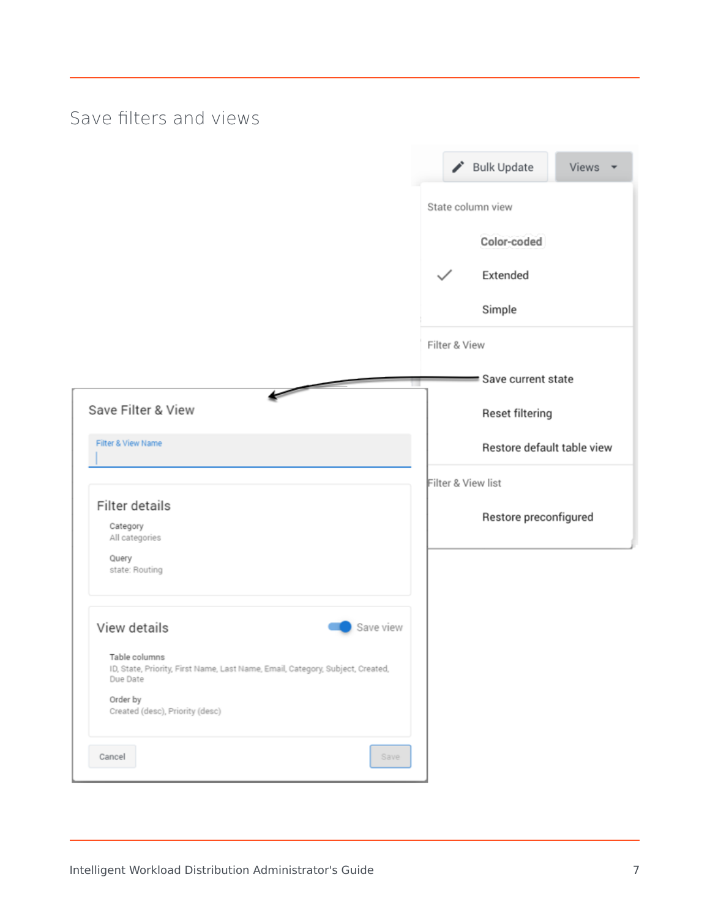# Save filters and views

<span id="page-6-0"></span>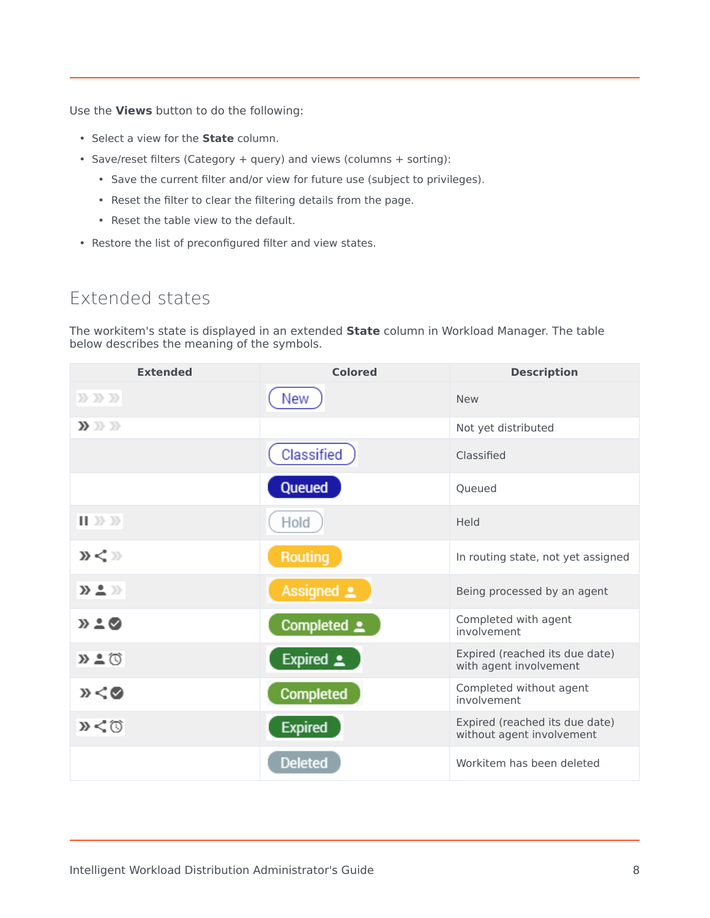Use the **Views** button to do the following:

- Select a view for the **State** column.
- Save/reset filters (Category + query) and views (columns + sorting):
	- Save the current filter and/or view for future use (subject to privileges).
	- Reset the filter to clear the filtering details from the page.
	- Reset the table view to the default.
- Restore the list of preconfigured filter and view states.

# <span id="page-7-0"></span>Extended states

The workitem's state is displayed in an extended **State** column in Workload Manager. The table below describes the meaning of the symbols.

| <b>Extended</b>                      | <b>Colored</b>                    | <b>Description</b>                                          |
|--------------------------------------|-----------------------------------|-------------------------------------------------------------|
| $\sum \sum \sum$                     | New                               | <b>New</b>                                                  |
| $\mathbf{y} \gg p$                   |                                   | Not yet distributed                                         |
|                                      | Classified                        | Classified                                                  |
|                                      | <b>Queued</b>                     | Oueued                                                      |
| $   \gg \gg$                         | Hold                              | Held                                                        |
| $\mathcal{D}$ $\lt$ $\gg$            | Routing                           | In routing state, not yet assigned                          |
| $\mathbf{D} \triangleq \mathbf{D}$   | Assigned $\mathbf{\underline{2}}$ | Being processed by an agent                                 |
| $\mathcal{D} \triangleq \mathcal{O}$ | Completed <b>2</b>                | Completed with agent<br>involvement                         |
| $\Sigma$ $\Omega$                    | Expired $\triangle$               | Expired (reached its due date)<br>with agent involvement    |
| $\mathcal{D} < \mathcal{O}$          | <b>Completed</b>                  | Completed without agent<br>involvement                      |
| »くび                                  | <b>Expired</b>                    | Expired (reached its due date)<br>without agent involvement |
|                                      | <b>Deleted</b>                    | Workitem has been deleted                                   |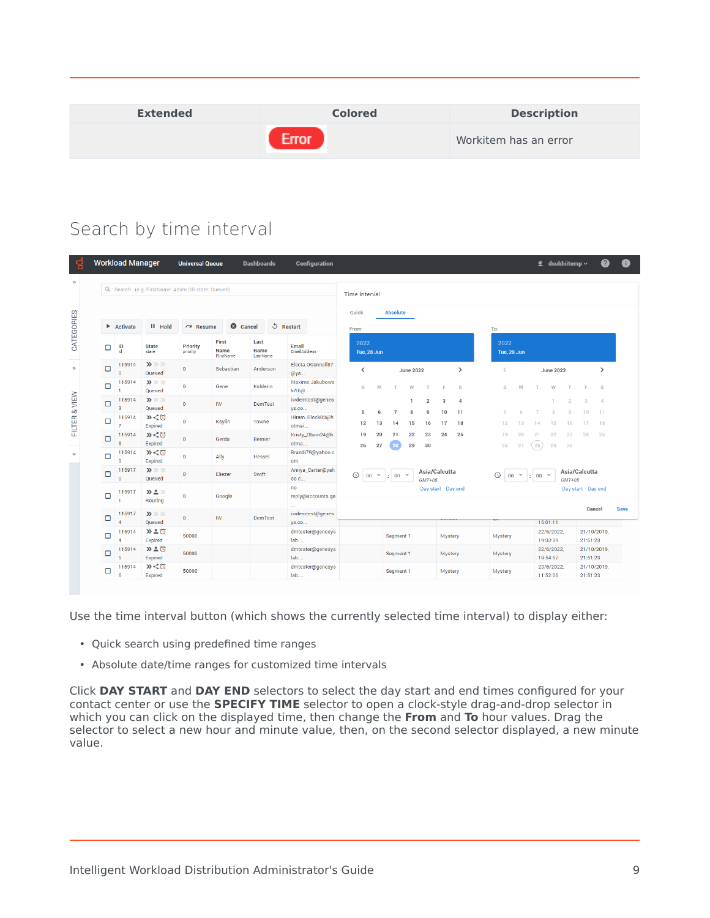| <b>Extended</b> | <b>Colored</b> | <b>Description</b>    |
|-----------------|----------------|-----------------------|
|                 | rror           | Workitem has an error |

# <span id="page-8-0"></span>Search by time interval

| g             |        | <b>Workload Manager</b>        |                                                  | <b>Universal Queue</b> |                                   | <b>Dashboards</b>        | <b>Configuration</b>           |                                                        |                          |                   |                      |                     |              | 雴                              |                  | dsukhiitemp $\backsim$        |                         | 2                    | Ð           |
|---------------|--------|--------------------------------|--------------------------------------------------|------------------------|-----------------------------------|--------------------------|--------------------------------|--------------------------------------------------------|--------------------------|-------------------|----------------------|---------------------|--------------|--------------------------------|------------------|-------------------------------|-------------------------|----------------------|-------------|
| $\rightarrow$ |        |                                | Q. Search(e.g. FirstName: Adam OR state: Queued) |                        |                                   |                          |                                | Time interval                                          |                          |                   |                      |                     |              |                                |                  |                               |                         |                      |             |
|               |        |                                |                                                  |                        |                                   |                          |                                | <b>Absolute</b><br>Quick                               |                          |                   |                      |                     |              |                                |                  |                               |                         |                      |             |
|               |        | $\blacktriangleright$ Activate | <b>II</b> Hold                                   | $\sim$ Resume          | Cancel                            |                          | <b>う</b> Restart               | From:                                                  |                          |                   |                      | To:                 |              |                                |                  |                               |                         |                      |             |
| CATEGORIES    | □      | ID<br>id                       | <b>State</b><br>state                            | Priority<br>priority   | First<br><b>Name</b><br>FirstName | Last<br>Name<br>LastName | Email<br><b>EmailAddress</b>   | 2022<br>Tue, 28 Jun                                    |                          |                   |                      | 2022<br>Tue, 28 Jun |              |                                |                  |                               |                         |                      |             |
| $\rightarrow$ | о      | 115914<br>$\Omega$             | $\mathbf{y} \gg p$<br>Queued                     | $\bf{0}$               | Sebastian                         | Anderson                 | Electa.OConnell87<br>@ya       | ≺                                                      | <b>June 2022</b>         |                   | $\rightarrow$        | $\lt$               |              |                                | <b>June 2022</b> |                               |                         | ゝ                    |             |
|               | $\Box$ | 115914                         | $\mathbf{y} \gg \mathbf{y}$<br>Queued            | $\mathbf{0}$           | Gene                              | <b>Kshlerin</b>          | Maxime.Jakubows<br>ki16@       | S<br>M                                                 | W                        | E                 | S                    | S                   | M            |                                | W                |                               | E                       | S                    |             |
|               | о      | 115914<br>я                    | $\mathbf{D} \gg \mathbf{D}$<br>Queued            | $\bf 0$                | <b>IW</b>                         | <b>DemTest</b>           | iwdemtest@genes<br>ys.co       | 5<br>6<br>$\overline{7}$                               | $\overline{2}$<br>8<br>9 | 3<br>10           | $\overline{4}$<br>11 | 5                   | 6            | $\overline{7}$                 | 8                | $\mathcal{D}$<br>$\mathbb{Q}$ | $\mathcal{R}$<br>10     | $\overline{4}$<br>11 |             |
| FILTER & VIEW | □      | 115914                         | x < 0<br>Expired                                 | $\mathbf{0}$           | Kaylin                            | Towne                    | Hiram_Block83@h<br>otmai       | 12<br>13<br>14                                         | 15<br>16                 | 17                | 18                   | 12                  | 13           | 14                             | 15               | 16                            | 17                      | 18                   |             |
|               | о      | 115914                         | $\mathbf{D} < 0$<br>Expired                      | $\overline{0}$         | Gerda                             | <b>Bernier</b>           | Kristy_Olson24@h<br>otma       | 19<br>20<br>21<br>27<br>26                             | 22<br>23<br>29<br>30     | 24                | 25                   | 19<br>26            | 20<br>27     | 21<br>(28)                     | 22<br>29         | 23<br>30                      | 24                      | 25                   |             |
| $\mathbf{p}$  | □      | 115914<br>$\alpha$             | »くび<br>Expired                                   | $\bf{0}$               | Ally                              | <b>Hessel</b>            | Brandi79@yahoo.c<br>om         |                                                        |                          |                   |                      |                     |              |                                |                  |                               |                         |                      |             |
|               | □      | 115917<br>$\Omega$             | $\mathbf{y} \gg p$<br>Queued                     | $\bf 0$                | Eliezer                           | Swift                    | Amiya_Carter@yah<br>00.C       | $\circledcirc$<br>$00\,$<br>$\therefore$ 00 $\sqrt{ }$ | $GMT+05$                 | Asia/Calcutta     |                      | $\odot$<br>00       | $\mathbf{v}$ | $\frac{1}{2}$ 00 $\rightarrow$ |                  | $GMT+05$                      | Asia/Calcutta           |                      |             |
|               | о      | 115917                         | $\Sigma \triangleq \Sigma$<br>Routing            | $\mathbf{0}$           | Google                            |                          | no-<br>reply@accounts.go<br>ш. |                                                        |                          | Day start Day end |                      |                     |              |                                |                  |                               | Day start Day end       |                      |             |
|               | о      | 115917                         | $\mathbf{y} \gg \mathbf{y}$<br>Queued            | $\mathbf{0}$           | <b>IW</b>                         | <b>DemTest</b>           | iwdemtest@genes<br>ys.co       |                                                        |                          |                   |                      |                     |              | 16:01:11                       |                  |                               | Cancel                  |                      | <b>Save</b> |
|               | о      | 115914                         | $D-0$<br>Expired                                 | 50000                  |                                   |                          | dmtester@genesys<br>lab        | Segment 1                                              |                          |                   | Mystery              | Mystery             |              | 19:33:39                       | 22/6/2022,       |                               | 21/10/2019,<br>21:51:23 |                      |             |
|               | о      | 115914<br>Б                    | D 20<br>Expired                                  | 50000                  |                                   |                          | dmtester@genesys<br>lab        | Segment 1                                              |                          |                   | <b>Mystery</b>       | Mystery             |              | 19:54:57                       | 22/6/2022.       |                               | 21/10/2019,<br>21:51:23 |                      |             |
|               | $\Box$ | 115914<br>6                    | x < 0<br>Expired                                 | 50000                  |                                   |                          | dmtester@genesys<br>lab        | Segment 1                                              |                          |                   | Mystery              | Mystery             |              | 11:52:06                       | 23/6/2022,       |                               | 21/10/2019,<br>21:51:23 |                      |             |

Use the time interval button (which shows the currently selected time interval) to display either:

- Quick search using predefined time ranges
- Absolute date/time ranges for customized time intervals

Click **DAY START** and **DAY END** selectors to select the day start and end times configured for your contact center or use the **SPECIFY TIME** selector to open a clock-style drag-and-drop selector in which you can click on the displayed time, then change the **From** and **To** hour values. Drag the selector to select a new hour and minute value, then, on the second selector displayed, a new minute value.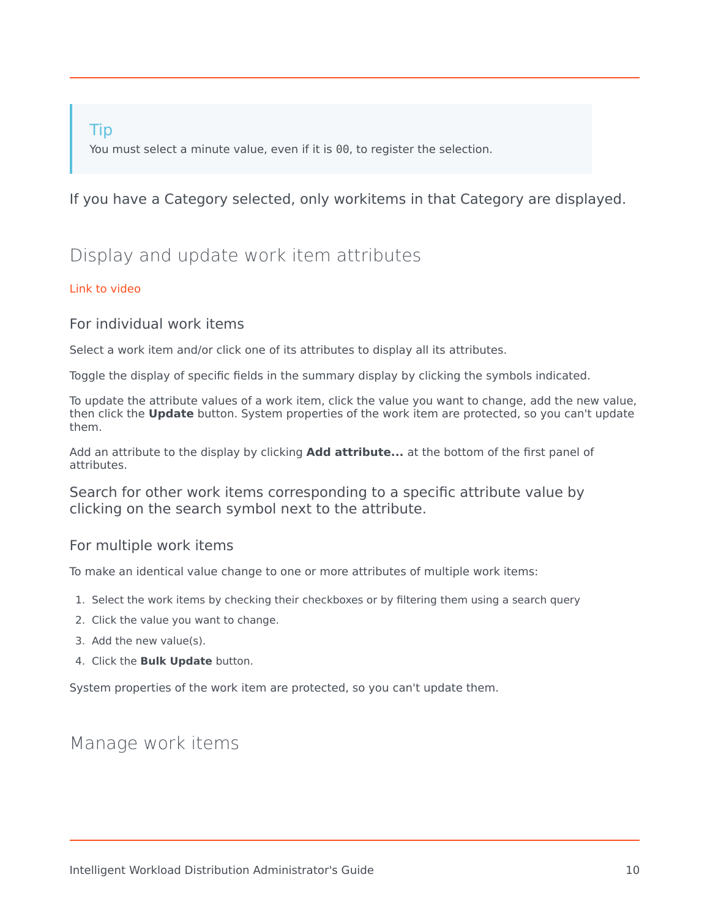## Tip

You must select a minute value, even if it is 00, to register the selection.

## If you have a Category selected, only workitems in that Category are displayed.

# <span id="page-9-0"></span>Display and update work item attributes

#### [Link to video](https://player.vimeo.com/video/696984784?title=0&byline=0&portrait=0)

## <span id="page-9-1"></span>For individual work items

Select a work item and/or click one of its attributes to display all its attributes.

Toggle the display of specific fields in the summary display by clicking the symbols indicated.

To update the attribute values of a work item, click the value you want to change, add the new value, then click the **Update** button. System properties of the work item are protected, so you can't update them.

Add an attribute to the display by clicking **Add attribute...** at the bottom of the first panel of attributes.

Search for other work items corresponding to a specific attribute value by clicking on the search symbol next to the attribute.

## <span id="page-9-2"></span>For multiple work items

To make an identical value change to one or more attributes of multiple work items:

- 1. Select the work items by checking their checkboxes or by filtering them using a search query
- 2. Click the value you want to change.
- 3. Add the new value(s).
- 4. Click the **Bulk Update** button.

System properties of the work item are protected, so you can't update them.

## <span id="page-9-3"></span>Manage work items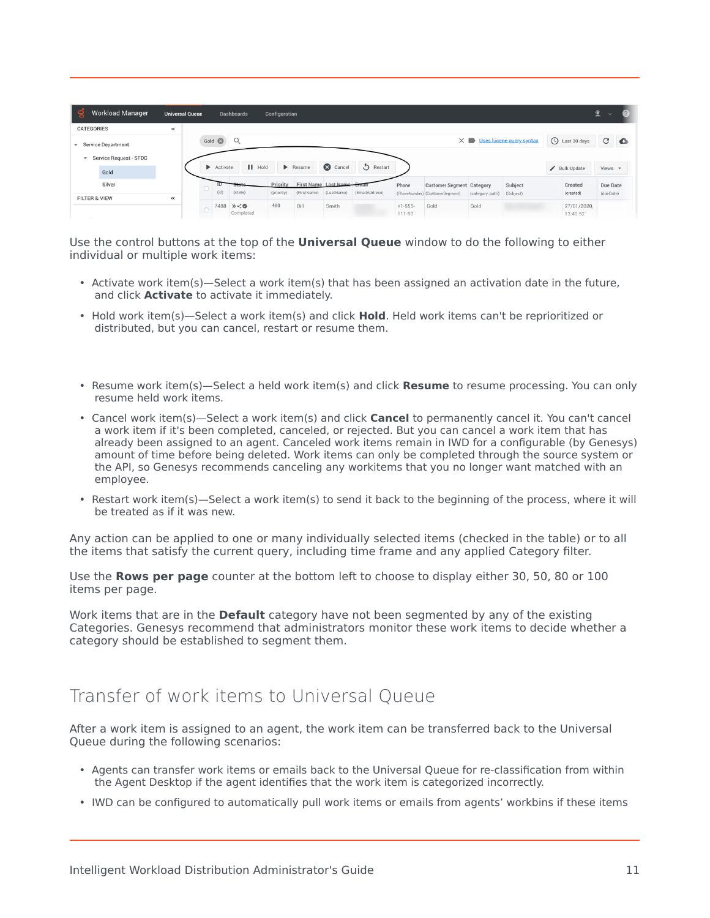| ട്ട്<br><b>Workload Manager</b>                                            |       | <b>Universal Queue</b> |                   | <b>Dashboards</b>                                                 | Configuration          |                              |                                    |                |                     |                                                                     |                 |                                                |                                                  | ً<br>$\checkmark$     |           |
|----------------------------------------------------------------------------|-------|------------------------|-------------------|-------------------------------------------------------------------|------------------------|------------------------------|------------------------------------|----------------|---------------------|---------------------------------------------------------------------|-----------------|------------------------------------------------|--------------------------------------------------|-----------------------|-----------|
| CATEGORIES                                                                 | $\ll$ |                        |                   |                                                                   |                        |                              |                                    |                |                     |                                                                     |                 |                                                |                                                  |                       |           |
| ▼ Service Department<br>Service Request - SFDC<br>$\overline{\phantom{a}}$ |       |                        | Gold <sup>3</sup> | $\alpha$<br>$\blacksquare$ Hold<br>$\blacktriangleright$ Activate |                        | $\blacktriangleright$ Resume | Cancel                             | Restart        |                     |                                                                     |                 | $\times \blacksquare$ Uses lucene query syntax | U Last 30 days<br>$\bigtriangledown$ Bulk Update | G<br>Views $\sim$     | $\bullet$ |
| Gold                                                                       |       |                        |                   |                                                                   |                        |                              |                                    |                |                     |                                                                     |                 |                                                |                                                  |                       |           |
| Silver<br><b>FILTER &amp; VIEW</b>                                         | «     |                        |                   | ID.<br>7777<br>(id)<br>(state)                                    | Priority<br>(priority) | (FirstName)                  | First Name Last Name<br>(LastName) | (EmailAddress) | Phone               | <b>Customer Segment Category</b><br>(PhoneNumber) (CustomerSegment) | (category_path) | Subject<br>(Subject)                           | Created<br>(created)                             | Due Date<br>(dueDate) |           |
|                                                                            |       |                        |                   | 7488<br>x < 0<br>Completed                                        | 480                    | Bill                         | Smith                              |                | $+1-555-$<br>111-92 | Gold                                                                | Gold            |                                                | 27/01/2020.<br>13:40:52                          |                       |           |

Use the control buttons at the top of the **Universal Queue** window to do the following to either individual or multiple work items:

- Activate work item(s)—Select a work item(s) that has been assigned an activation date in the future, and click **Activate** to activate it immediately.
- Hold work item(s)—Select a work item(s) and click **Hold**. Held work items can't be reprioritized or distributed, but you can cancel, restart or resume them.
- Resume work item(s)—Select a held work item(s) and click **Resume** to resume processing. You can only resume held work items.
- Cancel work item(s)—Select a work item(s) and click **Cancel** to permanently cancel it. You can't cancel a work item if it's been completed, canceled, or rejected. But you can cancel a work item that has already been assigned to an agent. Canceled work items remain in IWD for a configurable (by Genesys) amount of time before being deleted. Work items can only be completed through the source system or the API, so Genesys recommends canceling any workitems that you no longer want matched with an employee.
- Restart work item(s)—Select a work item(s) to send it back to the beginning of the process, where it will be treated as if it was new.

Any action can be applied to one or many individually selected items (checked in the table) or to all the items that satisfy the current query, including time frame and any applied Category filter.

Use the **Rows per page** counter at the bottom left to choose to display either 30, 50, 80 or 100 items per page.

Work items that are in the **Default** category have not been segmented by any of the existing Categories. Genesys recommend that administrators monitor these work items to decide whether a category should be established to segment them.

# <span id="page-10-0"></span>Transfer of work items to Universal Queue

After a work item is assigned to an agent, the work item can be transferred back to the Universal Queue during the following scenarios:

- Agents can transfer work items or emails back to the Universal Queue for re-classification from within the Agent Desktop if the agent identifies that the work item is categorized incorrectly.
- IWD can be configured to automatically pull work items or emails from agents' workbins if these items